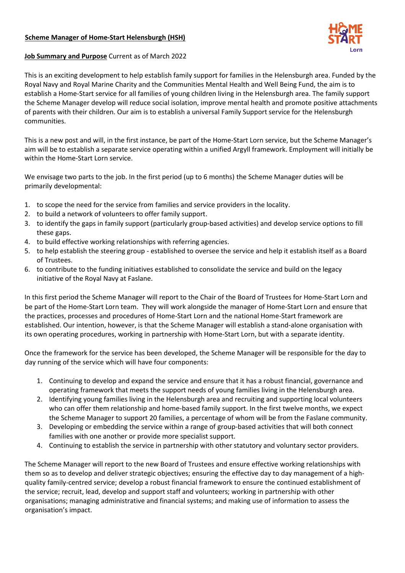# **Scheme Manager of Home-Start Helensburgh (HSH)**



#### **Job Summary and Purpose** Current as of March 2022

This is an exciting development to help establish family support for families in the Helensburgh area. Funded by the Royal Navy and Royal Marine Charity and the Communities Mental Health and Well Being Fund, the aim is to establish a Home-Start service for all families of young children living in the Helensburgh area. The family support the Scheme Manager develop will reduce social isolation, improve mental health and promote positive attachments of parents with their children. Our aim is to establish a universal Family Support service for the Helensburgh communities.

This is a new post and will, in the first instance, be part of the Home-Start Lorn service, but the Scheme Manager's aim will be to establish a separate service operating within a unified Argyll framework. Employment will initially be within the Home-Start Lorn service.

We envisage two parts to the job. In the first period (up to 6 months) the Scheme Manager duties will be primarily developmental:

- 1. to scope the need for the service from families and service providers in the locality.
- 2. to build a network of volunteers to offer family support.
- 3. to identify the gaps in family support (particularly group-based activities) and develop service options to fill these gaps.
- 4. to build effective working relationships with referring agencies.
- 5. to help establish the steering group established to oversee the service and help it establish itself as a Board of Trustees.
- 6. to contribute to the funding initiatives established to consolidate the service and build on the legacy initiative of the Royal Navy at Faslane.

In this first period the Scheme Manager will report to the Chair of the Board of Trustees for Home-Start Lorn and be part of the Home-Start Lorn team. They will work alongside the manager of Home-Start Lorn and ensure that the practices, processes and procedures of Home-Start Lorn and the national Home-Start framework are established. Our intention, however, is that the Scheme Manager will establish a stand-alone organisation with its own operating procedures, working in partnership with Home-Start Lorn, but with a separate identity.

Once the framework for the service has been developed, the Scheme Manager will be responsible for the day to day running of the service which will have four components:

- 1. Continuing to develop and expand the service and ensure that it has a robust financial, governance and operating framework that meets the support needs of young families living in the Helensburgh area.
- 2. Identifying young families living in the Helensburgh area and recruiting and supporting local volunteers who can offer them relationship and home-based family support. In the first twelve months, we expect the Scheme Manager to support 20 families, a percentage of whom will be from the Faslane community.
- 3. Developing or embedding the service within a range of group-based activities that will both connect families with one another or provide more specialist support.
- 4. Continuing to establish the service in partnership with other statutory and voluntary sector providers.

The Scheme Manager will report to the new Board of Trustees and ensure effective working relationships with them so as to develop and deliver strategic objectives; ensuring the effective day to day management of a highquality family-centred service; develop a robust financial framework to ensure the continued establishment of the service; recruit, lead, develop and support staff and volunteers; working in partnership with other organisations; managing administrative and financial systems; and making use of information to assess the organisation's impact.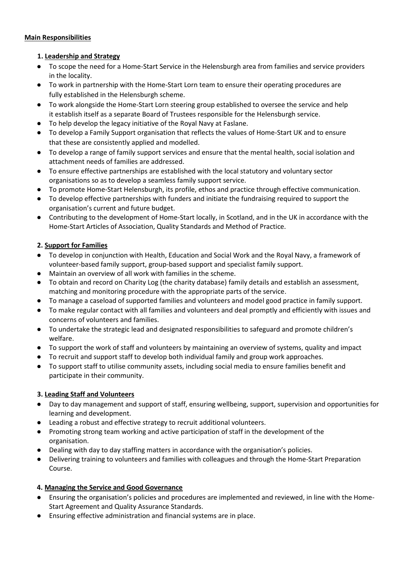# **Main Responsibilities**

# **1. Leadership and Strategy**

- To scope the need for a Home-Start Service in the Helensburgh area from families and service providers in the locality.
- To work in partnership with the Home-Start Lorn team to ensure their operating procedures are fully established in the Helensburgh scheme.
- To work alongside the Home-Start Lorn steering group established to oversee the service and help it establish itself as a separate Board of Trustees responsible for the Helensburgh service.
- To help develop the legacy initiative of the Royal Navy at Faslane.
- To develop a Family Support organisation that reflects the values of Home-Start UK and to ensure that these are consistently applied and modelled.
- To develop a range of family support services and ensure that the mental health, social isolation and attachment needs of families are addressed.
- To ensure effective partnerships are established with the local statutory and voluntary sector organisations so as to develop a seamless family support service.
- To promote Home-Start Helensburgh, its profile, ethos and practice through effective communication.
- To develop effective partnerships with funders and initiate the fundraising required to support the organisation's current and future budget.
- Contributing to the development of Home-Start locally, in Scotland, and in the UK in accordance with the Home-Start Articles of Association, Quality Standards and Method of Practice.

# **2. Support for Families**

- To develop in conjunction with Health, Education and Social Work and the Royal Navy, a framework of volunteer-based family support, group-based support and specialist family support.
- Maintain an overview of all work with families in the scheme.
- To obtain and record on Charity Log (the charity database) family details and establish an assessment, matching and monitoring procedure with the appropriate parts of the service.
- To manage a caseload of supported families and volunteers and model good practice in family support.
- To make regular contact with all families and volunteers and deal promptly and efficiently with issues and concerns of volunteers and families.
- To undertake the strategic lead and designated responsibilities to safeguard and promote children's welfare.
- To support the work of staff and volunteers by maintaining an overview of systems, quality and impact
- To recruit and support staff to develop both individual family and group work approaches.
- To support staff to utilise community assets, including social media to ensure families benefit and participate in their community.

### **3. Leading Staff and Volunteers**

- Day to day management and support of staff, ensuring wellbeing, support, supervision and opportunities for learning and development.
- Leading a robust and effective strategy to recruit additional volunteers.
- Promoting strong team working and active participation of staff in the development of the organisation.
- Dealing with day to day staffing matters in accordance with the organisation's policies.
- Delivering training to volunteers and families with colleagues and through the Home-Start Preparation Course.

### **4. Managing the Service and Good Governance**

- Ensuring the organisation's policies and procedures are implemented and reviewed, in line with the Home-Start Agreement and Quality Assurance Standards.
- Ensuring effective administration and financial systems are in place.